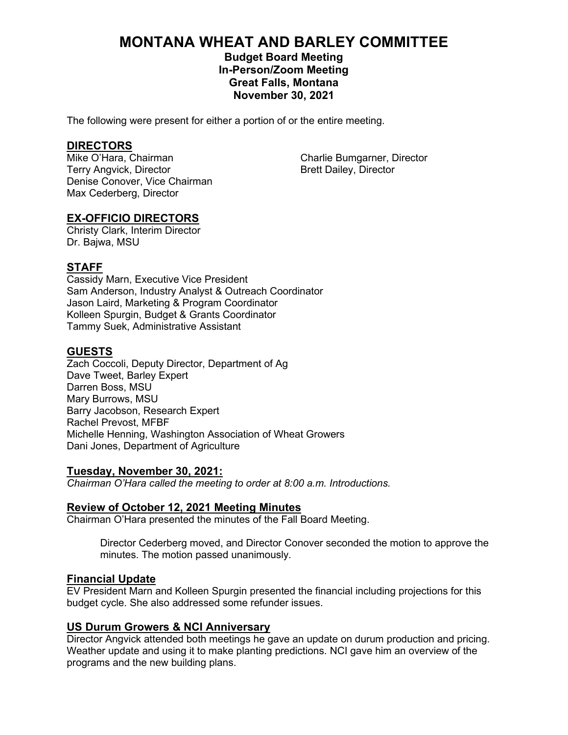# **MONTANA WHEAT AND BARLEY COMMITTEE**

# **Budget Board Meeting In-Person/Zoom Meeting Great Falls, Montana November 30, 2021**

The following were present for either a portion of or the entire meeting.

**DIRECTORS**<br>Mike O'Hara, Chairman Terry Angvick, Director **Brett Dailey, Director** Brett Dailey, Director Denise Conover, Vice Chairman Max Cederberg, Director

Charlie Bumgarner, Director

# **EX-OFFICIO DIRECTORS**

Christy Clark, Interim Director Dr. Bajwa, MSU

# **STAFF**

Cassidy Marn, Executive Vice President Sam Anderson, Industry Analyst & Outreach Coordinator Jason Laird, Marketing & Program Coordinator Kolleen Spurgin, Budget & Grants Coordinator Tammy Suek, Administrative Assistant

# **GUESTS**

Zach Coccoli, Deputy Director, Department of Ag Dave Tweet, Barley Expert Darren Boss, MSU Mary Burrows, MSU Barry Jacobson, Research Expert Rachel Prevost, MFBF Michelle Henning, Washington Association of Wheat Growers Dani Jones, Department of Agriculture

# **Tuesday, November 30, 2021:**

*Chairman O'Hara called the meeting to order at 8:00 a.m. Introductions.*

# **Review of October 12, 2021 Meeting Minutes**

Chairman O'Hara presented the minutes of the Fall Board Meeting.

Director Cederberg moved, and Director Conover seconded the motion to approve the minutes. The motion passed unanimously.

# **Financial Update**

EV President Marn and Kolleen Spurgin presented the financial including projections for this budget cycle. She also addressed some refunder issues.

# **US Durum Growers & NCI Anniversary**

Director Angvick attended both meetings he gave an update on durum production and pricing. Weather update and using it to make planting predictions. NCI gave him an overview of the programs and the new building plans.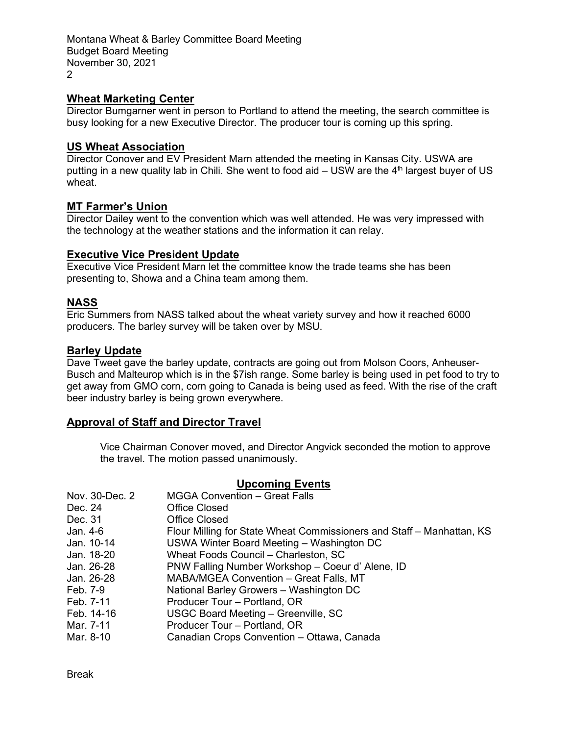Montana Wheat & Barley Committee Board Meeting Budget Board Meeting November 30, 2021 2

# **Wheat Marketing Center**

Director Bumgarner went in person to Portland to attend the meeting, the search committee is busy looking for a new Executive Director. The producer tour is coming up this spring.

# **US Wheat Association**

Director Conover and EV President Marn attended the meeting in Kansas City. USWA are putting in a new quality lab in Chili. She went to food aid  $-$  USW are the  $4<sup>th</sup>$  largest buyer of US wheat.

# **MT Farmer's Union**

Director Dailey went to the convention which was well attended. He was very impressed with the technology at the weather stations and the information it can relay.

# **Executive Vice President Update**

Executive Vice President Marn let the committee know the trade teams she has been presenting to, Showa and a China team among them.

# **NASS**

Eric Summers from NASS talked about the wheat variety survey and how it reached 6000 producers. The barley survey will be taken over by MSU.

# **Barley Update**

Dave Tweet gave the barley update, contracts are going out from Molson Coors, Anheuser-Busch and Malteurop which is in the \$7ish range. Some barley is being used in pet food to try to get away from GMO corn, corn going to Canada is being used as feed. With the rise of the craft beer industry barley is being grown everywhere.

# **Approval of Staff and Director Travel**

Vice Chairman Conover moved, and Director Angvick seconded the motion to approve the travel. The motion passed unanimously.

# **Upcoming Events**

| Nov. 30-Dec. 2 | <b>MGGA Convention - Great Falls</b>                                  |
|----------------|-----------------------------------------------------------------------|
| Dec. 24        | <b>Office Closed</b>                                                  |
| Dec. 31        | <b>Office Closed</b>                                                  |
| Jan. 4-6       | Flour Milling for State Wheat Commissioners and Staff – Manhattan, KS |
| Jan. 10-14     | USWA Winter Board Meeting - Washington DC                             |
| Jan. 18-20     | Wheat Foods Council - Charleston, SC                                  |
| Jan. 26-28     | PNW Falling Number Workshop - Coeur d' Alene, ID                      |
| Jan. 26-28     | MABA/MGEA Convention - Great Falls, MT                                |
| Feb. 7-9       | National Barley Growers - Washington DC                               |
| Feb. 7-11      | Producer Tour – Portland, OR                                          |
| Feb. 14-16     | USGC Board Meeting - Greenville, SC                                   |
| Mar. 7-11      | Producer Tour - Portland, OR                                          |
| Mar. 8-10      | Canadian Crops Convention - Ottawa, Canada                            |

Break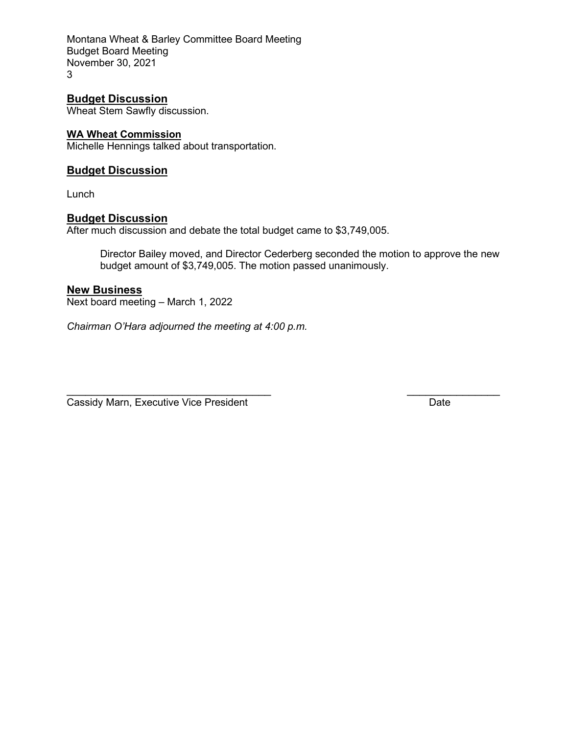Montana Wheat & Barley Committee Board Meeting Budget Board Meeting November 30, 2021 3

**Budget Discussion** Wheat Stem Sawfly discussion.

# **WA Wheat Commission**

Michelle Hennings talked about transportation.

# **Budget Discussion**

Lunch

# **Budget Discussion**

After much discussion and debate the total budget came to \$3,749,005.

Director Bailey moved, and Director Cederberg seconded the motion to approve the new budget amount of \$3,749,005. The motion passed unanimously.

# **New Business**

Next board meeting – March 1, 2022

*Chairman O'Hara adjourned the meeting at 4:00 p.m.*

 $\overline{\phantom{a}}$  , and the contract of the contract of the contract of the contract of the contract of the contract of the contract of the contract of the contract of the contract of the contract of the contract of the contrac Cassidy Marn, Executive Vice President **Date** Date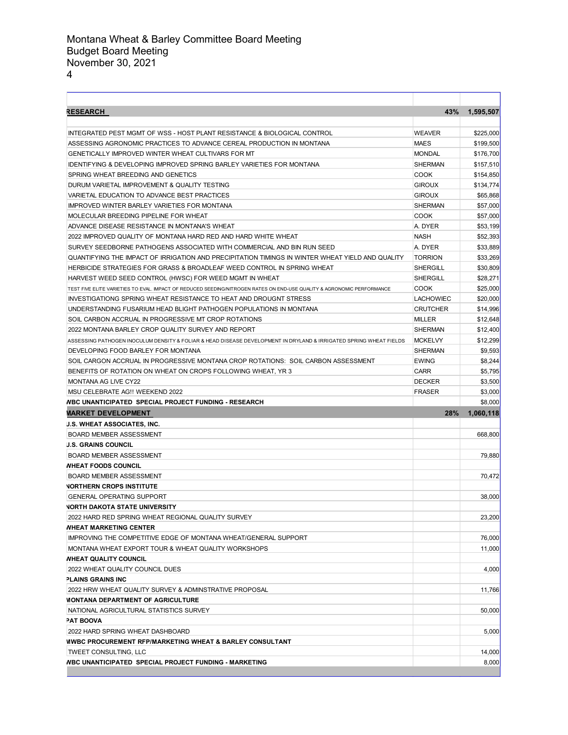| ۰<br>٠ |  |
|--------|--|
|        |  |

| <b>RESEARCH</b>                                                                                                        | 43%              | 1,595,507                 |
|------------------------------------------------------------------------------------------------------------------------|------------------|---------------------------|
| INTEGRATED PEST MGMT OF WSS - HOST PLANT RESISTANCE & BIOLOGICAL CONTROL                                               | <b>WEAVER</b>    | \$225,000                 |
| ASSESSING AGRONOMIC PRACTICES TO ADVANCE CEREAL PRODUCTION IN MONTANA                                                  |                  | \$199,500                 |
| GENETICALLY IMPROVED WINTER WHEAT CULTIVARS FOR MT                                                                     |                  | \$176,700                 |
| <b>IDENTIFYING &amp; DEVELOPING IMPROVED SPRING BARLEY VARIETIES FOR MONTANA</b>                                       |                  | \$157,510                 |
| SPRING WHEAT BREEDING AND GENETICS                                                                                     |                  | \$154,850                 |
| DURUM VARIETAL IMPROVEMENT & QUALITY TESTING                                                                           |                  | \$134,774                 |
| VARIETAL EDUCATION TO ADVANCE BEST PRACTICES                                                                           |                  | \$65,868                  |
| IMPROVED WINTER BARLEY VARIETIES FOR MONTANA                                                                           | <b>SHERMAN</b>   | \$57,000                  |
| MOLECULAR BREEDING PIPELINE FOR WHEAT                                                                                  | COOK             | \$57,000                  |
| ADVANCE DISEASE RESISTANCE IN MONTANA'S WHEAT                                                                          | A. DYER          | \$53,199                  |
| 2022 IMPROVED QUALITY OF MONTANA HARD RED AND HARD WHITE WHEAT                                                         | <b>NASH</b>      | \$52,393                  |
| SURVEY SEEDBORNE PATHOGENS ASSOCIATED WITH COMMERCIAL AND BIN RUN SEED                                                 | A. DYER          | \$33,889                  |
| QUANTIFYING THE IMPACT OF IRRIGATION AND PRECIPITATION TIMINGS IN WINTER WHEAT YIELD AND QUALITY                       | <b>TORRION</b>   | \$33,269                  |
| HERBICIDE STRATEGIES FOR GRASS & BROADLEAF WEED CONTROL IN SPRING WHEAT                                                | SHERGILL         | \$30,809                  |
| HARVEST WEED SEED CONTROL (HWSC) FOR WEED MGMT IN WHEAT                                                                | SHERGILL         | \$28,271                  |
| TEST FIVE ELITE VARIETIES TO EVAL. IMPACT OF REDUCED SEEDING/NITROGEN RATES ON END-USE QUALITY & AGRONOMIC PERFORMANCE | <b>COOK</b>      | \$25,000                  |
| INVESTIGATIONG SPRING WHEAT RESISTANCE TO HEAT AND DROUGNT STRESS                                                      | <b>LACHOWIEC</b> | \$20,000                  |
| UNDERSTANDING FUSARIUM HEAD BLIGHT PATHOGEN POPULATIONS IN MONTANA                                                     | <b>CRUTCHER</b>  | \$14,996                  |
| SOIL CARBON ACCRUAL IN PROGRESSIVE MT CROP ROTATIONS                                                                   | MILLER           | \$12,648                  |
| 2022 MONTANA BARLEY CROP QUALITY SURVEY AND REPORT                                                                     | SHERMAN          | \$12,400                  |
| ASSESSING PATHOGEN INOCULUM DENSITY & FOLIAR & HEAD DISEASE DEVELOPMENT IN DRYLAND & IRRIGATED SPRING WHEAT FIELDS     | <b>MCKELVY</b>   | \$12,299                  |
| DEVELOPING FOOD BARLEY FOR MONTANA                                                                                     | <b>SHERMAN</b>   | \$9,593                   |
| SOIL CARGON ACCRUAL IN PROGRESSIVE MONTANA CROP ROTATIONS: SOIL CARBON ASSESSMENT                                      | <b>EWING</b>     | \$8,244                   |
| BENEFITS OF ROTATION ON WHEAT ON CROPS FOLLOWING WHEAT, YR 3                                                           | <b>CARR</b>      | \$5,795                   |
| <b>MONTANA AG LIVE CY22</b>                                                                                            | <b>DECKER</b>    | \$3,500                   |
| MSU CELEBRATE AG!! WEEKEND 2022                                                                                        | <b>FRASER</b>    | \$3,000                   |
| <b>NBC UNANTICIPATED SPECIAL PROJECT FUNDING - RESEARCH</b>                                                            |                  |                           |
|                                                                                                                        |                  |                           |
|                                                                                                                        |                  | \$8,000                   |
| VARKET DEVELOPMENT                                                                                                     | 28%              | 1,060,118                 |
| <b>J.S. WHEAT ASSOCIATES, INC.</b>                                                                                     |                  |                           |
| <b>BOARD MEMBER ASSESSMENT</b>                                                                                         |                  | 668,800                   |
| J.S. GRAINS COUNCIL                                                                                                    |                  |                           |
| <b>BOARD MEMBER ASSESSMENT</b>                                                                                         |                  | 79,880                    |
| <b><i>NHEAT FOODS COUNCIL</i></b>                                                                                      |                  |                           |
| <b>BOARD MEMBER ASSESSMENT</b>                                                                                         |                  | 70,472                    |
| <b>NORTHERN CROPS INSTITUTE</b>                                                                                        |                  |                           |
| <b>GENERAL OPERATING SUPPORT</b>                                                                                       |                  | 38,000                    |
| <b>NORTH DAKOTA STATE UNIVERSITY</b>                                                                                   |                  |                           |
| 2022 HARD RED SPRING WHEAT REGIONAL QUALITY SURVEY                                                                     |                  |                           |
| <b><i>NHEAT MARKETING CENTER</i></b>                                                                                   |                  |                           |
| IMPROVING THE COMPETITIVE EDGE OF MONTANA WHEAT/GENERAL SUPPORT                                                        |                  | 76,000                    |
| MONTANA WHEAT EXPORT TOUR & WHEAT QUALITY WORKSHOPS                                                                    |                  | 11,000                    |
| <b><i>NHEAT QUALITY COUNCIL</i></b>                                                                                    |                  |                           |
| 2022 WHEAT QUALITY COUNCIL DUES                                                                                        |                  | 4,000                     |
| <b>PLAINS GRAINS INC</b>                                                                                               |                  |                           |
| 2022 HRW WHEAT QUALITY SURVEY & ADMINSTRATIVE PROPOSAL                                                                 |                  | 11,766                    |
| <b><i>MONTANA DEPARTMENT OF AGRICULTURE</i></b>                                                                        |                  |                           |
| NATIONAL AGRICULTURAL STATISTICS SURVEY                                                                                |                  |                           |
| <b>PAT BOOVA</b>                                                                                                       |                  |                           |
| 2022 HARD SPRING WHEAT DASHBOARD                                                                                       |                  | 23,200<br>50,000<br>5,000 |
| <b>WWBC PROCUREMENT RFP/MARKETING WHEAT &amp; BARLEY CONSULTANT</b>                                                    |                  |                           |
| TWEET CONSULTING, LLC<br><b>NBC UNANTICIPATED SPECIAL PROJECT FUNDING - MARKETING</b>                                  |                  | 14,000<br>8,000           |